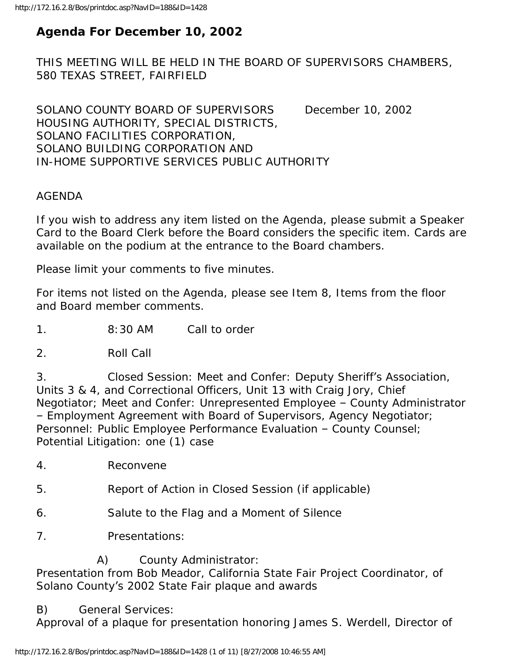# **Agenda For December 10, 2002**

THIS MEETING WILL BE HELD IN THE BOARD OF SUPERVISORS CHAMBERS, 580 TEXAS STREET, FAIRFIELD

SOLANO COUNTY BOARD OF SUPERVISORS December 10, 2002 HOUSING AUTHORITY, SPECIAL DISTRICTS, SOLANO FACILITIES CORPORATION, SOLANO BUILDING CORPORATION AND IN-HOME SUPPORTIVE SERVICES PUBLIC AUTHORITY

#### AGENDA

If you wish to address any item listed on the Agenda, please submit a Speaker Card to the Board Clerk before the Board considers the specific item. Cards are available on the podium at the entrance to the Board chambers.

Please limit your comments to five minutes.

For items not listed on the Agenda, please see Item 8, Items from the floor and Board member comments.

1. 8:30 AM Call to order

2. Roll Call

3. Closed Session: Meet and Confer: Deputy Sheriff's Association, Units 3 & 4, and Correctional Officers, Unit 13 with Craig Jory, Chief Negotiator; Meet and Confer: Unrepresented Employee – County Administrator – Employment Agreement with Board of Supervisors, Agency Negotiator; Personnel: Public Employee Performance Evaluation – County Counsel; Potential Litigation: one (1) case

- 4. Reconvene
- 5. Report of Action in Closed Session (if applicable)
- 6. Salute to the Flag and a Moment of Silence
- 7. Presentations:

A) County Administrator:

Presentation from Bob Meador, California State Fair Project Coordinator, of Solano County's 2002 State Fair plaque and awards

#### B) General Services:

Approval of a plaque for presentation honoring James S. Werdell, Director of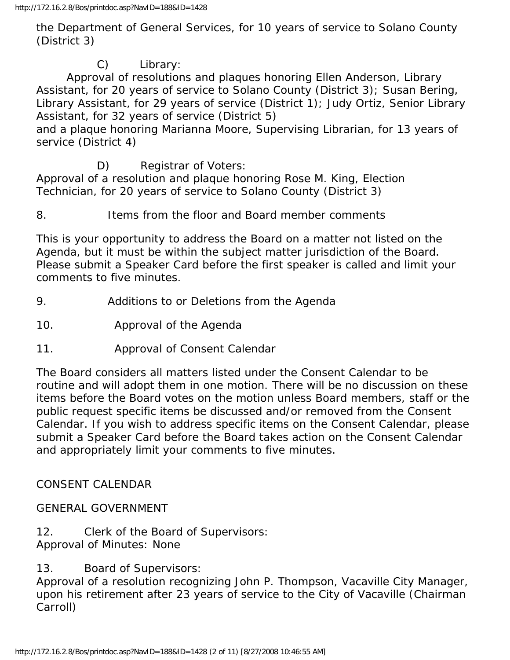the Department of General Services, for 10 years of service to Solano County (District 3)

## C) Library:

 Approval of resolutions and plaques honoring Ellen Anderson, Library Assistant, for 20 years of service to Solano County (District 3); Susan Bering, Library Assistant, for 29 years of service (District 1); Judy Ortiz, Senior Library Assistant, for 32 years of service (District 5)

and a plaque honoring Marianna Moore, Supervising Librarian, for 13 years of service (District 4)

D) Registrar of Voters:

Approval of a resolution and plaque honoring Rose M. King, Election Technician, for 20 years of service to Solano County (District 3)

#### 8. Items from the floor and Board member comments

This is your opportunity to address the Board on a matter not listed on the Agenda, but it must be within the subject matter jurisdiction of the Board. Please submit a Speaker Card before the first speaker is called and limit your comments to five minutes.

- 9. Additions to or Deletions from the Agenda
- 10. Approval of the Agenda
- 11. Approval of Consent Calendar

The Board considers all matters listed under the Consent Calendar to be routine and will adopt them in one motion. There will be no discussion on these items before the Board votes on the motion unless Board members, staff or the public request specific items be discussed and/or removed from the Consent Calendar. If you wish to address specific items on the Consent Calendar, please submit a Speaker Card before the Board takes action on the Consent Calendar and appropriately limit your comments to five minutes.

#### CONSENT CALENDAR

GENERAL GOVERNMENT

- 12. Clerk of the Board of Supervisors: Approval of Minutes: None
- 13. Board of Supervisors:

Approval of a resolution recognizing John P. Thompson, Vacaville City Manager, upon his retirement after 23 years of service to the City of Vacaville (Chairman Carroll)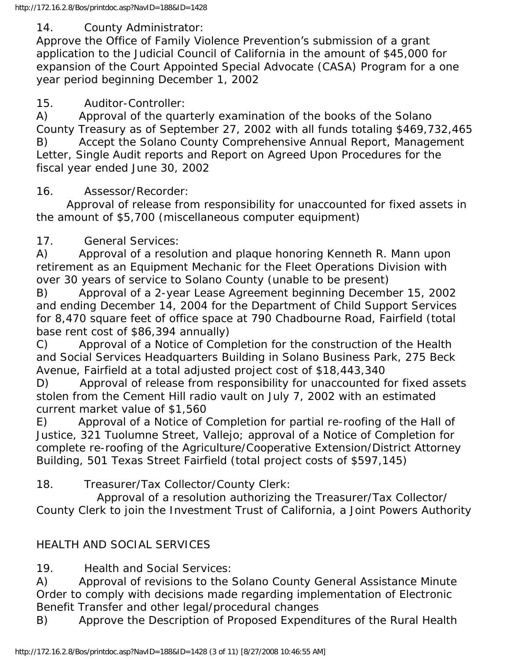## 14. County Administrator:

Approve the Office of Family Violence Prevention's submission of a grant application to the Judicial Council of California in the amount of \$45,000 for expansion of the Court Appointed Special Advocate (CASA) Program for a one year period beginning December 1, 2002

## 15. Auditor-Controller:

A) Approval of the quarterly examination of the books of the Solano County Treasury as of September 27, 2002 with all funds totaling \$469,732,465 B) Accept the Solano County Comprehensive Annual Report, Management Letter, Single Audit reports and Report on Agreed Upon Procedures for the fiscal year ended June 30, 2002

16. Assessor/Recorder:

 Approval of release from responsibility for unaccounted for fixed assets in the amount of \$5,700 (miscellaneous computer equipment)

17. General Services:

A) Approval of a resolution and plaque honoring Kenneth R. Mann upon retirement as an Equipment Mechanic for the Fleet Operations Division with over 30 years of service to Solano County (unable to be present)

B) Approval of a 2-year Lease Agreement beginning December 15, 2002 and ending December 14, 2004 for the Department of Child Support Services for 8,470 square feet of office space at 790 Chadbourne Road, Fairfield (total base rent cost of \$86,394 annually)

C) Approval of a Notice of Completion for the construction of the Health and Social Services Headquarters Building in Solano Business Park, 275 Beck Avenue, Fairfield at a total adjusted project cost of \$18,443,340

D) Approval of release from responsibility for unaccounted for fixed assets stolen from the Cement Hill radio vault on July 7, 2002 with an estimated current market value of \$1,560

E) Approval of a Notice of Completion for partial re-roofing of the Hall of Justice, 321 Tuolumne Street, Vallejo; approval of a Notice of Completion for complete re-roofing of the Agriculture/Cooperative Extension/District Attorney Building, 501 Texas Street Fairfield (total project costs of \$597,145)

18. Treasurer/Tax Collector/County Clerk:

 Approval of a resolution authorizing the Treasurer/Tax Collector/ County Clerk to join the Investment Trust of California, a Joint Powers Authority

## HEALTH AND SOCIAL SERVICES

19. Health and Social Services:

A) Approval of revisions to the Solano County General Assistance Minute Order to comply with decisions made regarding implementation of Electronic Benefit Transfer and other legal/procedural changes

B) Approve the Description of Proposed Expenditures of the Rural Health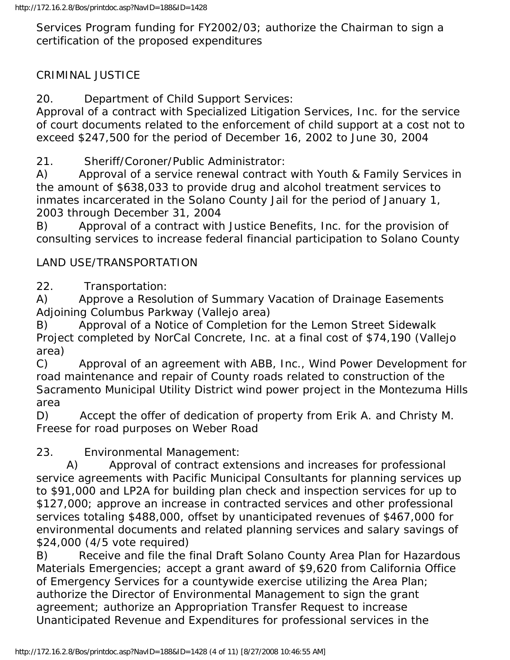Services Program funding for FY2002/03; authorize the Chairman to sign a certification of the proposed expenditures

## CRIMINAL JUSTICE

20. Department of Child Support Services:

Approval of a contract with Specialized Litigation Services, Inc. for the service of court documents related to the enforcement of child support at a cost not to exceed \$247,500 for the period of December 16, 2002 to June 30, 2004

21. Sheriff/Coroner/Public Administrator:

A) Approval of a service renewal contract with Youth & Family Services in the amount of \$638,033 to provide drug and alcohol treatment services to inmates incarcerated in the Solano County Jail for the period of January 1, 2003 through December 31, 2004

B) Approval of a contract with Justice Benefits, Inc. for the provision of consulting services to increase federal financial participation to Solano County

#### LAND USE/TRANSPORTATION

22. Transportation:

A) Approve a Resolution of Summary Vacation of Drainage Easements Adjoining Columbus Parkway (Vallejo area)

B) Approval of a Notice of Completion for the Lemon Street Sidewalk Project completed by NorCal Concrete, Inc. at a final cost of \$74,190 (Vallejo area)

C) Approval of an agreement with ABB, Inc., Wind Power Development for road maintenance and repair of County roads related to construction of the Sacramento Municipal Utility District wind power project in the Montezuma Hills area

D) Accept the offer of dedication of property from Erik A. and Christy M. Freese for road purposes on Weber Road

23. Environmental Management:

 A) Approval of contract extensions and increases for professional service agreements with Pacific Municipal Consultants for planning services up to \$91,000 and LP2A for building plan check and inspection services for up to \$127,000; approve an increase in contracted services and other professional services totaling \$488,000, offset by unanticipated revenues of \$467,000 for environmental documents and related planning services and salary savings of \$24,000 (4/5 vote required)

B) Receive and file the final Draft Solano County Area Plan for Hazardous Materials Emergencies; accept a grant award of \$9,620 from California Office of Emergency Services for a countywide exercise utilizing the Area Plan; authorize the Director of Environmental Management to sign the grant agreement; authorize an Appropriation Transfer Request to increase Unanticipated Revenue and Expenditures for professional services in the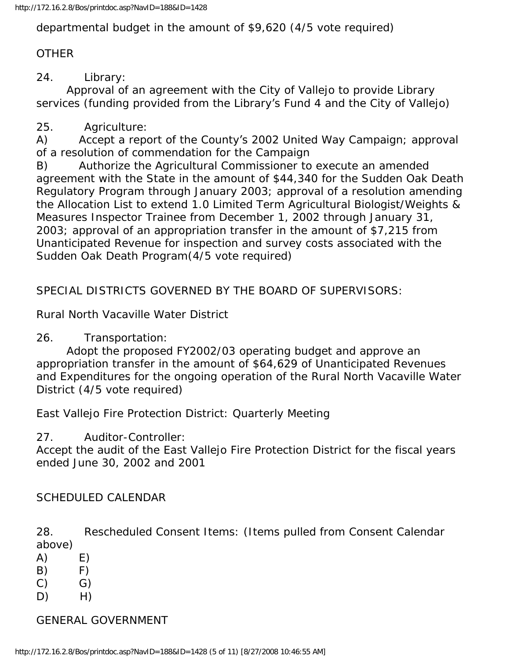departmental budget in the amount of \$9,620 (4/5 vote required)

### **OTHER**

24. Library:

 Approval of an agreement with the City of Vallejo to provide Library services (funding provided from the Library's Fund 4 and the City of Vallejo)

## 25. Agriculture:

A) Accept a report of the County's 2002 United Way Campaign; approval of a resolution of commendation for the Campaign

B) Authorize the Agricultural Commissioner to execute an amended agreement with the State in the amount of \$44,340 for the Sudden Oak Death Regulatory Program through January 2003; approval of a resolution amending the Allocation List to extend 1.0 Limited Term Agricultural Biologist/Weights & Measures Inspector Trainee from December 1, 2002 through January 31, 2003; approval of an appropriation transfer in the amount of \$7,215 from Unanticipated Revenue for inspection and survey costs associated with the Sudden Oak Death Program(4/5 vote required)

## SPECIAL DISTRICTS GOVERNED BY THE BOARD OF SUPERVISORS:

Rural North Vacaville Water District

#### 26. Transportation:

 Adopt the proposed FY2002/03 operating budget and approve an appropriation transfer in the amount of \$64,629 of Unanticipated Revenues and Expenditures for the ongoing operation of the Rural North Vacaville Water District (4/5 vote required)

East Vallejo Fire Protection District: Quarterly Meeting

27. Auditor-Controller:

Accept the audit of the East Vallejo Fire Protection District for the fiscal years ended June 30, 2002 and 2001

#### SCHEDULED CALENDAR

28. Rescheduled Consent Items: (Items pulled from Consent Calendar above)

- $(A)$   $E)$
- $(B)$  F)
- $(C)$   $G)$
- $D)$  H)

## GENERAL GOVERNMENT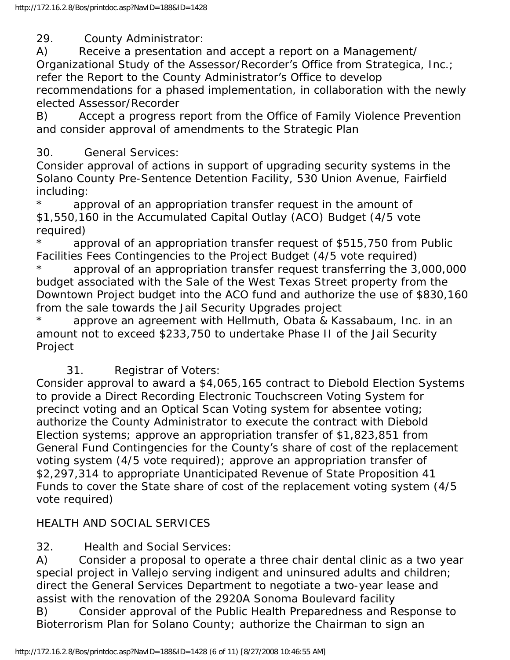29. County Administrator:

A) Receive a presentation and accept a report on a Management/ Organizational Study of the Assessor/Recorder's Office from Strategica, Inc.; refer the Report to the County Administrator's Office to develop recommendations for a phased implementation, in collaboration with the newly elected Assessor/Recorder

B) Accept a progress report from the Office of Family Violence Prevention and consider approval of amendments to the Strategic Plan

#### 30. General Services:

Consider approval of actions in support of upgrading security systems in the Solano County Pre-Sentence Detention Facility, 530 Union Avenue, Fairfield including:

approval of an appropriation transfer request in the amount of \$1,550,160 in the Accumulated Capital Outlay (ACO) Budget (4/5 vote required)

approval of an appropriation transfer request of \$515,750 from Public Facilities Fees Contingencies to the Project Budget (4/5 vote required)

approval of an appropriation transfer request transferring the 3,000,000 budget associated with the Sale of the West Texas Street property from the Downtown Project budget into the ACO fund and authorize the use of \$830,160 from the sale towards the Jail Security Upgrades project

approve an agreement with Hellmuth, Obata & Kassabaum, Inc. in an amount not to exceed \$233,750 to undertake Phase II of the Jail Security Project

31. Registrar of Voters:

Consider approval to award a \$4,065,165 contract to Diebold Election Systems to provide a Direct Recording Electronic Touchscreen Voting System for precinct voting and an Optical Scan Voting system for absentee voting; authorize the County Administrator to execute the contract with Diebold Election systems; approve an appropriation transfer of \$1,823,851 from General Fund Contingencies for the County's share of cost of the replacement voting system (4/5 vote required); approve an appropriation transfer of \$2,297,314 to appropriate Unanticipated Revenue of State Proposition 41 Funds to cover the State share of cost of the replacement voting system (4/5 vote required)

#### HEALTH AND SOCIAL SERVICES

32. Health and Social Services:

A) Consider a proposal to operate a three chair dental clinic as a two year special project in Vallejo serving indigent and uninsured adults and children; direct the General Services Department to negotiate a two-year lease and assist with the renovation of the 2920A Sonoma Boulevard facility

B) Consider approval of the Public Health Preparedness and Response to Bioterrorism Plan for Solano County; authorize the Chairman to sign an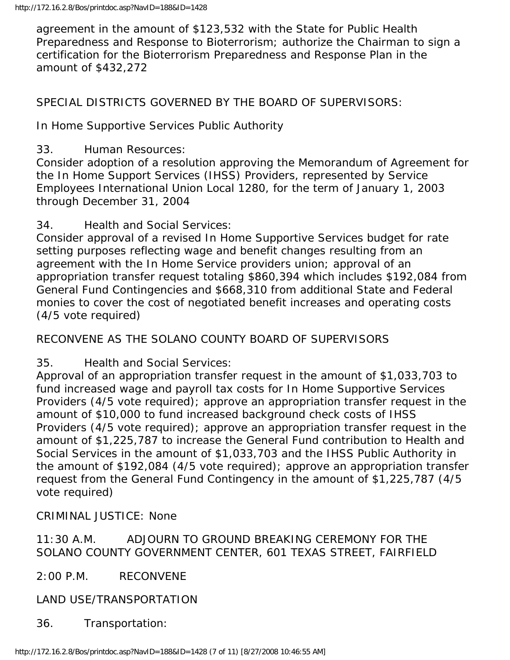agreement in the amount of \$123,532 with the State for Public Health Preparedness and Response to Bioterrorism; authorize the Chairman to sign a certification for the Bioterrorism Preparedness and Response Plan in the amount of \$432,272

#### SPECIAL DISTRICTS GOVERNED BY THE BOARD OF SUPERVISORS:

In Home Supportive Services Public Authority

33. Human Resources:

Consider adoption of a resolution approving the Memorandum of Agreement for the In Home Support Services (IHSS) Providers, represented by Service Employees International Union Local 1280, for the term of January 1, 2003 through December 31, 2004

34. Health and Social Services:

Consider approval of a revised In Home Supportive Services budget for rate setting purposes reflecting wage and benefit changes resulting from an agreement with the In Home Service providers union; approval of an appropriation transfer request totaling \$860,394 which includes \$192,084 from General Fund Contingencies and \$668,310 from additional State and Federal monies to cover the cost of negotiated benefit increases and operating costs (4/5 vote required)

RECONVENE AS THE SOLANO COUNTY BOARD OF SUPERVISORS

35. Health and Social Services:

Approval of an appropriation transfer request in the amount of \$1,033,703 to fund increased wage and payroll tax costs for In Home Supportive Services Providers (4/5 vote required); approve an appropriation transfer request in the amount of \$10,000 to fund increased background check costs of IHSS Providers (4/5 vote required); approve an appropriation transfer request in the amount of \$1,225,787 to increase the General Fund contribution to Health and Social Services in the amount of \$1,033,703 and the IHSS Public Authority in the amount of \$192,084 (4/5 vote required); approve an appropriation transfer request from the General Fund Contingency in the amount of \$1,225,787 (4/5 vote required)

CRIMINAL JUSTICE: None

11:30 A.M. ADJOURN TO GROUND BREAKING CEREMONY FOR THE SOLANO COUNTY GOVERNMENT CENTER, 601 TEXAS STREET, FAIRFIELD

2:00 P.M. RECONVENE

LAND USE/TRANSPORTATION

36. Transportation: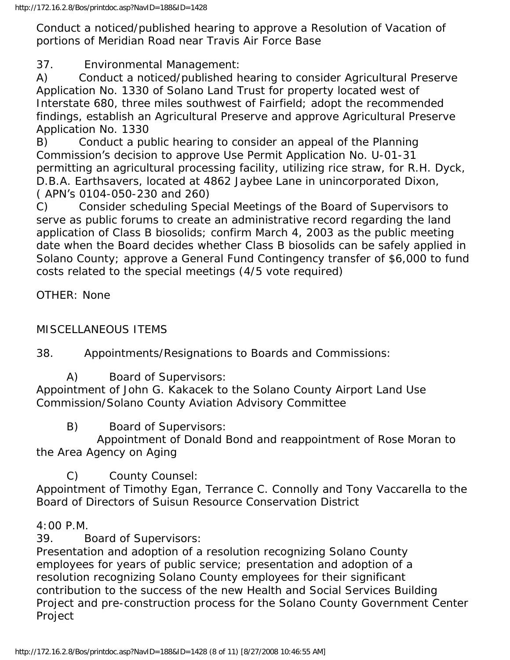Conduct a noticed/published hearing to approve a Resolution of Vacation of portions of Meridian Road near Travis Air Force Base

37. Environmental Management:

A) Conduct a noticed/published hearing to consider Agricultural Preserve Application No. 1330 of Solano Land Trust for property located west of Interstate 680, three miles southwest of Fairfield; adopt the recommended findings, establish an Agricultural Preserve and approve Agricultural Preserve Application No. 1330

B) Conduct a public hearing to consider an appeal of the Planning Commission's decision to approve Use Permit Application No. U-01-31 permitting an agricultural processing facility, utilizing rice straw, for R.H. Dyck, D.B.A. Earthsavers, located at 4862 Jaybee Lane in unincorporated Dixon, ( APN's 0104-050-230 and 260)

C) Consider scheduling Special Meetings of the Board of Supervisors to serve as public forums to create an administrative record regarding the land application of Class B biosolids; confirm March 4, 2003 as the public meeting date when the Board decides whether Class B biosolids can be safely applied in Solano County; approve a General Fund Contingency transfer of \$6,000 to fund costs related to the special meetings (4/5 vote required)

OTHER: None

MISCELLANEOUS ITEMS

38. Appointments/Resignations to Boards and Commissions:

A) Board of Supervisors:

Appointment of John G. Kakacek to the Solano County Airport Land Use Commission/Solano County Aviation Advisory Committee

B) Board of Supervisors:

 Appointment of Donald Bond and reappointment of Rose Moran to the Area Agency on Aging

C) County Counsel:

Appointment of Timothy Egan, Terrance C. Connolly and Tony Vaccarella to the Board of Directors of Suisun Resource Conservation District

4:00 P.M.

39. Board of Supervisors:

Presentation and adoption of a resolution recognizing Solano County employees for years of public service; presentation and adoption of a resolution recognizing Solano County employees for their significant contribution to the success of the new Health and Social Services Building Project and pre-construction process for the Solano County Government Center Project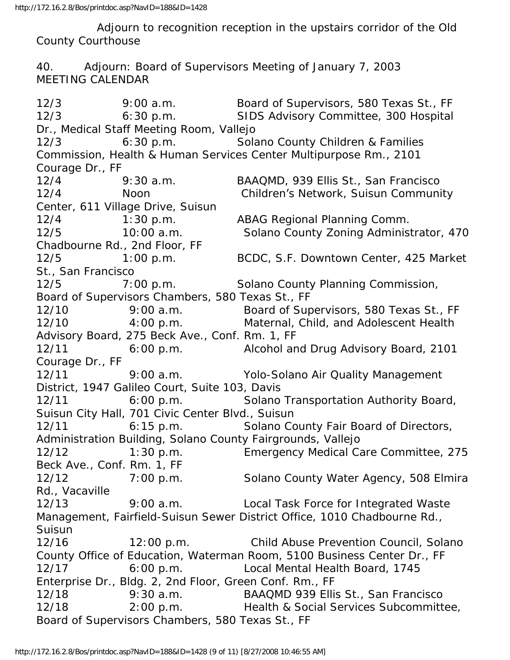Adjourn to recognition reception in the upstairs corridor of the Old County Courthouse

40. Adjourn: Board of Supervisors Meeting of January 7, 2003 MEETING CALENDAR

12/3 9:00 a.m. Board of Supervisors, 580 Texas St., FF 12/3 6:30 p.m. SIDS Advisory Committee, 300 Hospital Dr., Medical Staff Meeting Room, Vallejo 12/3 6:30 p.m. Solano County Children & Families Commission, Health & Human Services Center Multipurpose Rm., 2101 Courage Dr., FF 12/4 9:30 a.m. BAAQMD, 939 Ellis St., San Francisco 12/4 Noon Children's Network, Suisun Community Center, 611 Village Drive, Suisun 12/4 1:30 p.m. ABAG Regional Planning Comm. 12/5 10:00 a.m. Solano County Zoning Administrator, 470 Chadbourne Rd., 2nd Floor, FF 12/5 1:00 p.m. BCDC, S.F. Downtown Center, 425 Market St., San Francisco 12/5 7:00 p.m. Solano County Planning Commission, Board of Supervisors Chambers, 580 Texas St., FF 12/10 9:00 a.m. Board of Supervisors, 580 Texas St., FF 12/10 4:00 p.m. Maternal, Child, and Adolescent Health Advisory Board, 275 Beck Ave., Conf. Rm. 1, FF 12/11 6:00 p.m. Alcohol and Drug Advisory Board, 2101 Courage Dr., FF 12/11 9:00 a.m. Yolo-Solano Air Quality Management District, 1947 Galileo Court, Suite 103, Davis 12/11 6:00 p.m. Solano Transportation Authority Board, Suisun City Hall, 701 Civic Center Blvd., Suisun 12/11 6:15 p.m. Solano County Fair Board of Directors, Administration Building, Solano County Fairgrounds, Vallejo 12/12 1:30 p.m. Emergency Medical Care Committee, 275 Beck Ave., Conf. Rm. 1, FF 12/12 7:00 p.m. Solano County Water Agency, 508 Elmira Rd., Vacaville 12/13 9:00 a.m. Local Task Force for Integrated Waste Management, Fairfield-Suisun Sewer District Office, 1010 Chadbourne Rd., Suisun 12/16 12:00 p.m. Child Abuse Prevention Council, Solano County Office of Education, Waterman Room, 5100 Business Center Dr., FF 12/17 6:00 p.m. Local Mental Health Board, 1745 Enterprise Dr., Bldg. 2, 2nd Floor, Green Conf. Rm., FF 12/18 9:30 a.m. BAAQMD 939 Ellis St., San Francisco 12/18 2:00 p.m. Health & Social Services Subcommittee, Board of Supervisors Chambers, 580 Texas St., FF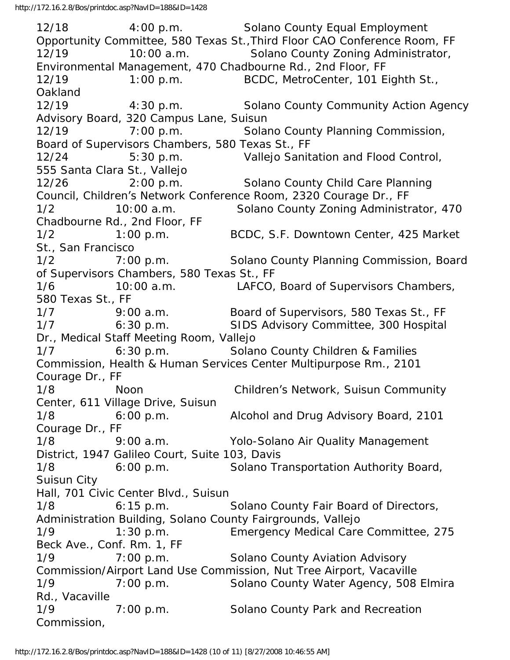12/18 4:00 p.m. Solano County Equal Employment Opportunity Committee, 580 Texas St.,Third Floor CAO Conference Room, FF 12/19 10:00 a.m. Solano County Zoning Administrator, Environmental Management, 470 Chadbourne Rd., 2nd Floor, FF 12/19 1:00 p.m. BCDC, MetroCenter, 101 Eighth St., Oakland 12/19 4:30 p.m. Solano County Community Action Agency Advisory Board, 320 Campus Lane, Suisun 12/19 7:00 p.m. Solano County Planning Commission, Board of Supervisors Chambers, 580 Texas St., FF 12/24 5:30 p.m. Vallejo Sanitation and Flood Control, 555 Santa Clara St., Vallejo 12/26 2:00 p.m. Solano County Child Care Planning Council, Children's Network Conference Room, 2320 Courage Dr., FF 1/2 10:00 a.m. Solano County Zoning Administrator, 470 Chadbourne Rd., 2nd Floor, FF 1/2 1:00 p.m. BCDC, S.F. Downtown Center, 425 Market St., San Francisco 1/2 7:00 p.m. Solano County Planning Commission, Board of Supervisors Chambers, 580 Texas St., FF 1/6 10:00 a.m. LAFCO, Board of Supervisors Chambers, 580 Texas St., FF 1/7 9:00 a.m. Board of Supervisors, 580 Texas St., FF 1/7 6:30 p.m. SIDS Advisory Committee, 300 Hospital Dr., Medical Staff Meeting Room, Vallejo 1/7 6:30 p.m. Solano County Children & Families Commission, Health & Human Services Center Multipurpose Rm., 2101 Courage Dr., FF 1/8 Noon Children's Network, Suisun Community Center, 611 Village Drive, Suisun 1/8 6:00 p.m. Alcohol and Drug Advisory Board, 2101 Courage Dr., FF 1/8 9:00 a.m. Yolo-Solano Air Quality Management District, 1947 Galileo Court, Suite 103, Davis 1/8 6:00 p.m. Solano Transportation Authority Board, Suisun City Hall, 701 Civic Center Blvd., Suisun 1/8 6:15 p.m. Solano County Fair Board of Directors, Administration Building, Solano County Fairgrounds, Vallejo 1/9 1:30 p.m. Emergency Medical Care Committee, 275 Beck Ave., Conf. Rm. 1, FF 1/9 7:00 p.m. Solano County Aviation Advisory Commission/Airport Land Use Commission, Nut Tree Airport, Vacaville 1/9 7:00 p.m. Solano County Water Agency, 508 Elmira Rd., Vacaville 1/9 7:00 p.m. Solano County Park and Recreation Commission,